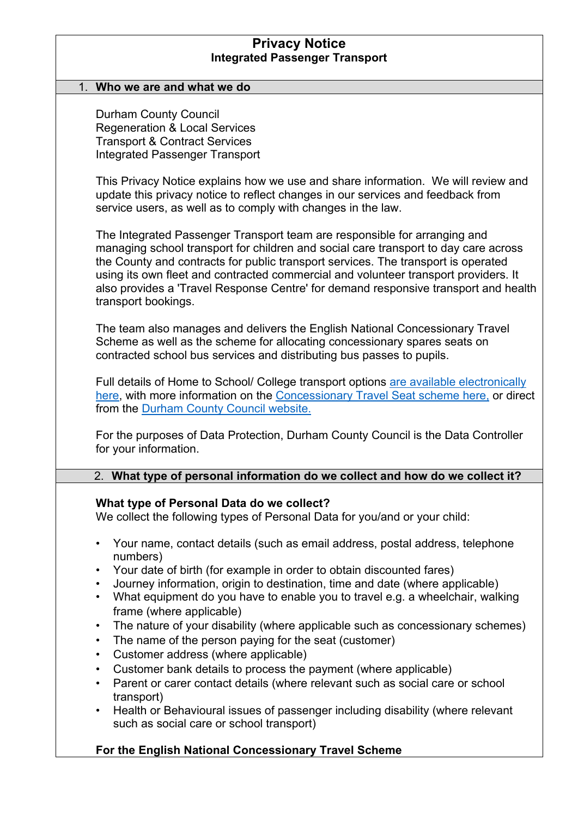| <b>Privacy Notice</b><br><b>Integrated Passenger Transport</b>                                                                                                                                                                                                                                                                                                                                                                                             |  |  |
|------------------------------------------------------------------------------------------------------------------------------------------------------------------------------------------------------------------------------------------------------------------------------------------------------------------------------------------------------------------------------------------------------------------------------------------------------------|--|--|
| 1. Who we are and what we do                                                                                                                                                                                                                                                                                                                                                                                                                               |  |  |
| <b>Durham County Council</b><br><b>Regeneration &amp; Local Services</b><br><b>Transport &amp; Contract Services</b><br><b>Integrated Passenger Transport</b>                                                                                                                                                                                                                                                                                              |  |  |
| This Privacy Notice explains how we use and share information. We will review and<br>update this privacy notice to reflect changes in our services and feedback from<br>service users, as well as to comply with changes in the law.                                                                                                                                                                                                                       |  |  |
| The Integrated Passenger Transport team are responsible for arranging and<br>managing school transport for children and social care transport to day care across<br>the County and contracts for public transport services. The transport is operated<br>using its own fleet and contracted commercial and volunteer transport providers. It<br>also provides a 'Travel Response Centre' for demand responsive transport and health<br>transport bookings. |  |  |
| The team also manages and delivers the English National Concessionary Travel<br>Scheme as well as the scheme for allocating concessionary spares seats on<br>contracted school bus services and distributing bus passes to pupils.                                                                                                                                                                                                                         |  |  |
| Full details of Home to School/ College transport options are available electronically<br>here, with more information on the Concessionary Travel Seat scheme here, or direct<br>from the Durham County Council website.                                                                                                                                                                                                                                   |  |  |
| For the purposes of Data Protection, Durham County Council is the Data Controller<br>for your information.                                                                                                                                                                                                                                                                                                                                                 |  |  |
| 2. What type of personal information do we collect and how do we collect it?                                                                                                                                                                                                                                                                                                                                                                               |  |  |
| What type of Personal Data do we collect?<br>We collect the following types of Personal Data for you/and or your child:                                                                                                                                                                                                                                                                                                                                    |  |  |
| Your name, contact details (such as email address, postal address, telephone<br>$\bullet$<br>numbers)                                                                                                                                                                                                                                                                                                                                                      |  |  |
| Your date of birth (for example in order to obtain discounted fares)<br>$\bullet$<br>Journey information, origin to destination, time and date (where applicable)<br>$\bullet$                                                                                                                                                                                                                                                                             |  |  |
| What equipment do you have to enable you to travel e.g. a wheelchair, walking<br>$\bullet$<br>frame (where applicable)                                                                                                                                                                                                                                                                                                                                     |  |  |
| The nature of your disability (where applicable such as concessionary schemes)<br>$\bullet$<br>The name of the person paying for the seat (customer)<br>$\bullet$                                                                                                                                                                                                                                                                                          |  |  |
| Customer address (where applicable)<br>$\bullet$<br>$\bullet$                                                                                                                                                                                                                                                                                                                                                                                              |  |  |
| Customer bank details to process the payment (where applicable)<br>Parent or carer contact details (where relevant such as social care or school<br>$\bullet$                                                                                                                                                                                                                                                                                              |  |  |
| transport)<br>Health or Behavioural issues of passenger including disability (where relevant<br>$\bullet$<br>such as social care or school transport)                                                                                                                                                                                                                                                                                                      |  |  |

## **For the English National Concessionary Travel Scheme**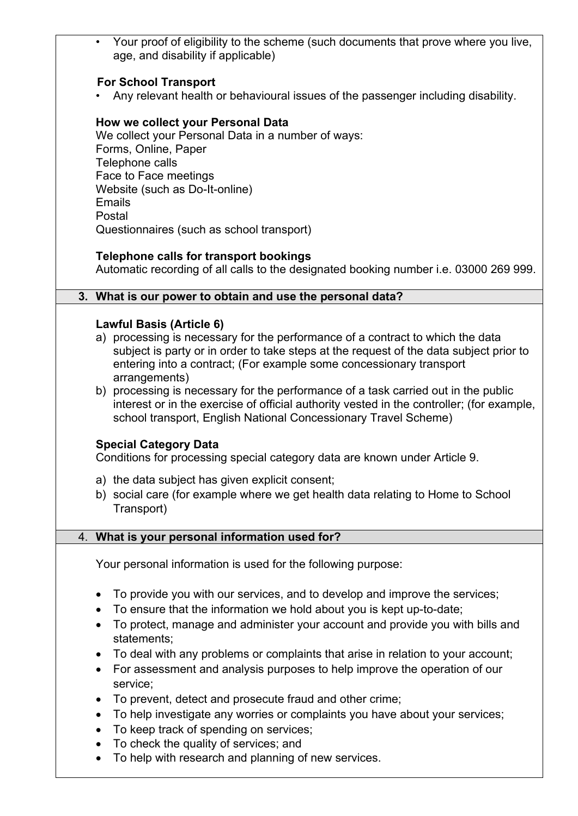|                        | • Your proof of eligibility to the scheme (such documents that prove where you live,<br>age, and disability if applicable)                                                                                                                                                                          |
|------------------------|-----------------------------------------------------------------------------------------------------------------------------------------------------------------------------------------------------------------------------------------------------------------------------------------------------|
|                        | <b>For School Transport</b><br>Any relevant health or behavioural issues of the passenger including disability.                                                                                                                                                                                     |
|                        | How we collect your Personal Data<br>We collect your Personal Data in a number of ways:<br>Forms, Online, Paper<br>Telephone calls<br>Face to Face meetings<br>Website (such as Do-It-online)<br><b>Emails</b><br>Postal                                                                            |
|                        | Questionnaires (such as school transport)                                                                                                                                                                                                                                                           |
|                        | <b>Telephone calls for transport bookings</b><br>Automatic recording of all calls to the designated booking number i.e. 03000 269 999.                                                                                                                                                              |
|                        | 3. What is our power to obtain and use the personal data?                                                                                                                                                                                                                                           |
|                        | <b>Lawful Basis (Article 6)</b><br>a) processing is necessary for the performance of a contract to which the data<br>subject is party or in order to take steps at the request of the data subject prior to<br>entering into a contract; (For example some concessionary transport<br>arrangements) |
|                        | b) processing is necessary for the performance of a task carried out in the public<br>interest or in the exercise of official authority vested in the controller; (for example,<br>school transport, English National Concessionary Travel Scheme)                                                  |
|                        | <b>Special Category Data</b><br>Conditions for processing special category data are known under Article 9.                                                                                                                                                                                          |
|                        | a) the data subject has given explicit consent;<br>b) social care (for example where we get health data relating to Home to School<br>Transport)                                                                                                                                                    |
|                        | 4. What is your personal information used for?                                                                                                                                                                                                                                                      |
|                        | Your personal information is used for the following purpose:                                                                                                                                                                                                                                        |
| $\bullet$              | To provide you with our services, and to develop and improve the services;<br>To ensure that the information we hold about you is kept up-to-date;<br>To protect, manage and administer your account and provide you with bills and<br>statements;                                                  |
| $\bullet$<br>$\bullet$ | To deal with any problems or complaints that arise in relation to your account;<br>For assessment and analysis purposes to help improve the operation of our<br>service;                                                                                                                            |
| $\bullet$<br>$\bullet$ | To prevent, detect and prosecute fraud and other crime;<br>To help investigate any worries or complaints you have about your services;<br>To keep track of spending on services;<br>To check the quality of services; and<br>To help with research and planning of new services.                    |
|                        |                                                                                                                                                                                                                                                                                                     |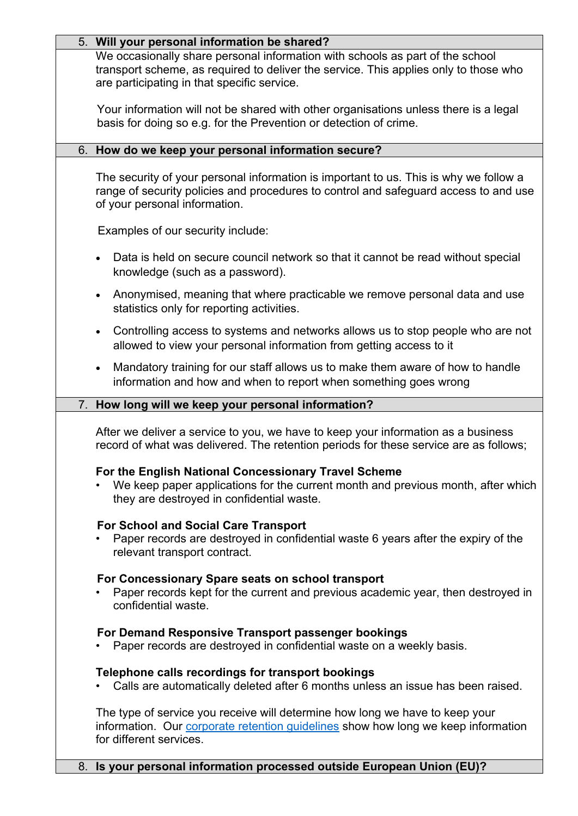| 5. Will your personal information be shared?                                                                                                                                                                         |
|----------------------------------------------------------------------------------------------------------------------------------------------------------------------------------------------------------------------|
| We occasionally share personal information with schools as part of the school<br>transport scheme, as required to deliver the service. This applies only to those who<br>are participating in that specific service. |
| Your information will not be shared with other organisations unless there is a legal<br>basis for doing so e.g. for the Prevention or detection of crime.                                                            |
| 6. How do we keep your personal information secure?                                                                                                                                                                  |
| The security of your personal information is important to us. This is why we follow a<br>range of security policies and procedures to control and safeguard access to and use<br>of your personal information.       |
| Examples of our security include:                                                                                                                                                                                    |
| Data is held on secure council network so that it cannot be read without special<br>knowledge (such as a password).                                                                                                  |
| Anonymised, meaning that where practicable we remove personal data and use<br>statistics only for reporting activities.                                                                                              |
| Controlling access to systems and networks allows us to stop people who are not<br>$\bullet$<br>allowed to view your personal information from getting access to it                                                  |
| Mandatory training for our staff allows us to make them aware of how to handle<br>$\bullet$<br>information and how and when to report when something goes wrong                                                      |
| 7. How long will we keep your personal information?                                                                                                                                                                  |
| After we deliver a service to you, we have to keep your information as a business<br>record of what was delivered. The retention periods for these service are as follows;                                           |
| For the English National Concessionary Travel Scheme<br>We keep paper applications for the current month and previous month, after which<br>they are destroyed in confidential waste.                                |
| <b>For School and Social Care Transport</b><br>Paper records are destroyed in confidential waste 6 years after the expiry of the<br>relevant transport contract.                                                     |
| For Concessionary Spare seats on school transport<br>Paper records kept for the current and previous academic year, then destroyed in<br>confidential waste.                                                         |
| For Demand Responsive Transport passenger bookings<br>Paper records are destroyed in confidential waste on a weekly basis.                                                                                           |
| Telephone calls recordings for transport bookings<br>Calls are automatically deleted after 6 months unless an issue has been raised.                                                                                 |
| The type of service you receive will determine how long we have to keep your<br>information. Our corporate retention guidelines show how long we keep information<br>for different services.                         |
| 8. Is your personal information processed outside European Union (EU)?                                                                                                                                               |